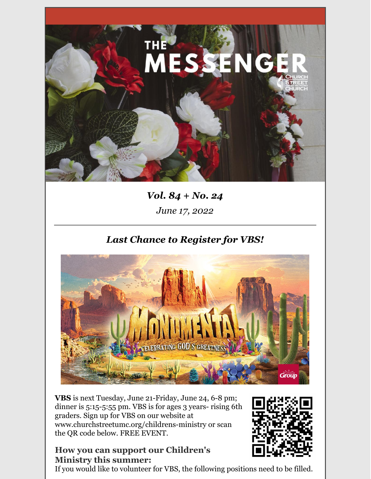

# *Vol. 84 + No. 24 June 17, 2022*

# *Last Chance to Register for VBS!*



**VBS** is next Tuesday, June 21-Friday, June 24, 6-8 pm; dinner is 5:15-5:55 pm. VBS is for ages 3 years- rising 6th graders. Sign up for VBS on our website at www.churchstreetumc.org/childrens-ministry or scan the QR code below. FREE EVENT.

### **How you can support our Children's Ministry this summer:**

If you would like to volunteer for VBS, the following positions need to be filled.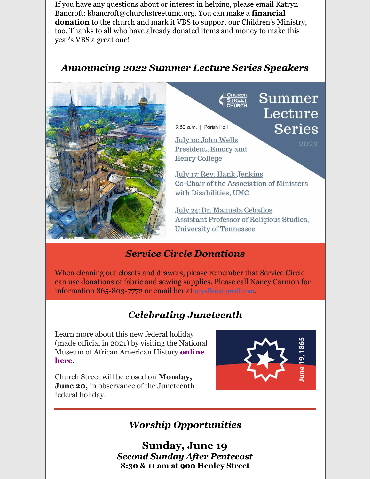If you have any questions about or interest in helping, please email Katryn Bancroft: kbancroft@churchstreetumc.org. You can make a **financial donation** to the church and mark it VBS to support our Children's Ministry, too. Thanks to all who have already donated items and money to make this year's VBS a great one!

### *Announcing 2022 Summer Lecture Series Speakers*



9:30 a.m. | Parish Hall

July 10: John Wells President, Emory and **Henry College** 

July 17: Rev. Hank Jenkins Co-Chair of the Association of Ministers with Disabilities, UMC

Summer

Lecture

**Series** 

2022

July 24: Dr. Manuela Ceballos Assistant Professor of Religious Studies, **University of Tennessee** 

## *Service Circle Donations*

When cleaning out closets and drawers, please remember that Service Circle can use donations of fabric and sewing supplies. Please call Nancy Carmon for information 865-803-7772 or email her at [ncyellen@gmail.com](mailto:ncyellen@gmail.com).

# *Celebrating Juneteenth*

Learn more about this new federal holiday (made official in 2021) by visiting the National Museum of African [American](https://us-west-2.protection.sophos.com/?d=rs6.net&u=aHR0cHM6Ly9yMjAucnM2Lm5ldC90bi5qc3A_Zj0wMDE4ODUtczFPb1dxUTZ4TkhSMjdIdHQtSDlibjFnSXBOaWRYRWlHdlNXU09ySk92OEZ4ZU1BSXhxQ3VPSnRPYng0WXNuM21YZkI0MmZ0WDdyb3pyX2Q4NlY0QW1wbHpQSG1IX3FLcnp2SDVxTjNOLXVFQUZPSzBRZEM2dUpXamtSZ1hiUDBXOGxuZUo1ak1QNm1aVTRnVVVnalg1WFg2RGoyYlpEM2h6R0pLWWk5cVJXWEtPUnRoVURlZ0NBckFTV2pod01kNXBWSnFOVT0mYz1icUhWWFhfNGFwdFducTE2UHJTenhjWUJYS2NQemNBa3RMM2pleE9VQ2w4cmx6TnhibVo4cEE9PSZjaD1ZWVJ1b2JXYU05cVo0ekpISGZyQ1NCb3ZoWHd6QmlSUE0wYjA4NjFTRWhvQzlGUkE1SjZZOHc9PQ==&p=m&i=NjI3ZjIwNzA0NWYxYWMxMjU0OWIzYTg4&t=RnRJbjV6YmpROEZsVnl6ckVxRGl1bGFPQ1hSdG96YUl2dVRyKzdNKytOVT0=&h=9eb042383f434e1e8667c12d10390cb9) History **online here**.

Church Street will be closed on **Monday, June 20,** in observance of the Juneteenth federal holiday.



# *Worship Opportunities*

**Sunday, June 19** *Second Sunday After Pentecost* **8:30 & 11 am at 900 Henley Street**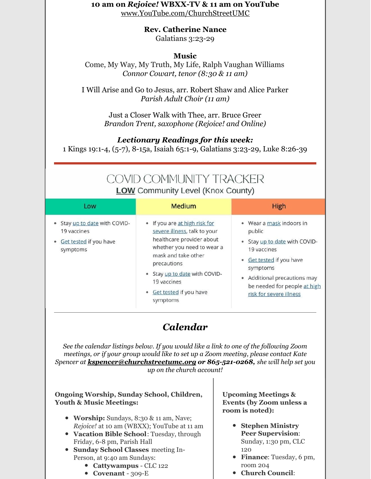#### **10 am on** *Rejoice!* **WBXX-TV & 11 am on YouTube** [www.YouTube.com/ChurchStreetUMC](http://www.youtube.com/ChurchStreetUMC)

**Rev. Catherine Nance**

Galatians 3:23-29

### **Music**

Come, My Way, My Truth, My Life, Ralph Vaughan Williams *Connor Cowart, tenor (8:30 & 11 am)*

I Will Arise and Go to Jesus, arr. Robert Shaw and Alice Parker *Parish Adult Choir (11 am)*

> Just a Closer Walk with Thee, arr. Bruce Greer *Brandon Trent, saxophone (Rejoice! and Online)*

### *Lectionary Readings for this week:*

1 Kings 19:1-4, (5-7), 8-15a, Isaiah 65:1-9, Galatians 3:23-29, Luke 8:26-39

## **COVID COMMUNITY TRACKER LOW Community Level (Knox County)**

| Low                                                                              | <b>Medium</b>                                                                                                                                                                                                                                           | High                                                                                                                                                                                                              |
|----------------------------------------------------------------------------------|---------------------------------------------------------------------------------------------------------------------------------------------------------------------------------------------------------------------------------------------------------|-------------------------------------------------------------------------------------------------------------------------------------------------------------------------------------------------------------------|
| Stay up to date with COVID-<br>19 vaccines<br>Get tested if you have<br>symptoms | • If you are at high risk for<br>severe illness, talk to your<br>healthcare provider about<br>whether you need to wear a<br>mask and take other<br>precautions<br>Stay up to date with COVID-<br>19 vaccines<br>Get tested if you have<br>۰<br>symptoms | • Wear a mask indoors in<br>public<br>Stay up to date with COVID-<br>19 vaccines<br>Get tested if you have<br>symptoms<br>• Additional precautions may<br>be needed for people at high<br>risk for severe illness |

# *Calendar*

*See the calendar listings below. If you would like a link to one of the following Zoom meetings, or if your group would like to set up a Zoom meeting, please contact Kate Spencer at [kspencer@churchstreetumc.org](mailto:kspencer@churchstreetumc.org) or 865-521-0268, she will help set you up on the church account!*

#### **Ongoing Worship, Sunday School, Children, Youth & Music Meetings:**

- **Worship:** Sundays, 8:30 & 11 am, Nave; *Rejoice!* at 10 am (WBXX); YouTube at 11 am
- **Vacation Bible School**: Tuesday, through Friday, 6-8 pm, Parish Hall
- **Sunday School Classes** meeting In-Person, at 9:40 am Sundays:
	- **Cattywampus** CLC 122
	- **Covenant** 309-E

**Upcoming Meetings & Events (by Zoom unless a room is noted):**

- **Stephen Ministry Peer Supervision**: Sunday, 1:30 pm, CLC 120
- **Finance**: Tuesday, 6 pm, room 204
- **Church Council**: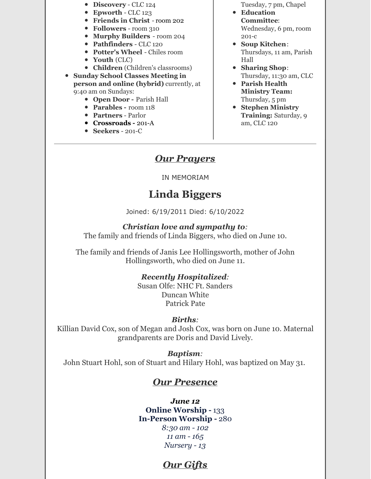- **Discovery** CLC 124
- **Epworth** CLC 123
- **Friends in Christ** room 202
- **Followers** room 310
- **Murphy Builders** room 204
- **Pathfinders** CLC 120
- **Potter's Wheel** Chiles room
- **Youth** (CLC)
- **Children** (Children's classrooms)

**Sunday School Classes Meeting in**

**person and online (hybrid)** currently, at 9:40 am on Sundays:

- **Open Door -** Parish Hall
- **Parables -** room 118
- **Partners** Parlor
- **Crossroads -** 201-A
- **Seekers** 201-C

Tuesday, 7 pm, Chapel

- **Education Committee**: Wednesday, 6 pm, room 201-c
- **Soup Kitchen**: Thursdays, 11 am, Parish Hall
- **Sharing Shop**: Thursday, 11:30 am, CLC
- **Parish Health Ministry Team:** Thursday, 5 pm
- **Stephen Ministry Training:** Saturday, 9 am, CLC 120

### *Our Prayers*

#### IN MEMORIAM

# **Linda Biggers**

Joined: 6/19/2011 Died: 6/10/2022

#### *Christian love and sympathy to:*

The family and friends of Linda Biggers, who died on June 10.

The family and friends of Janis Lee Hollingsworth, mother of John Hollingsworth, who died on June 11.

### *Recently Hospitalized:*

Susan Olfe: NHC Ft. Sanders Duncan White Patrick Pate

#### *Births:*

Killian David Cox, son of Megan and Josh Cox, was born on June 10. Maternal grandparents are Doris and David Lively.

### *Baptism:*

John Stuart Hohl, son of Stuart and Hilary Hohl, was baptized on May 31.

### *Our Presence*

#### *June 12* **Online Worship -** 133 **In-Person Worship -** 280

*8:30 am - 102 11 am - 165 Nursery - 13*

## *Our Gifts*